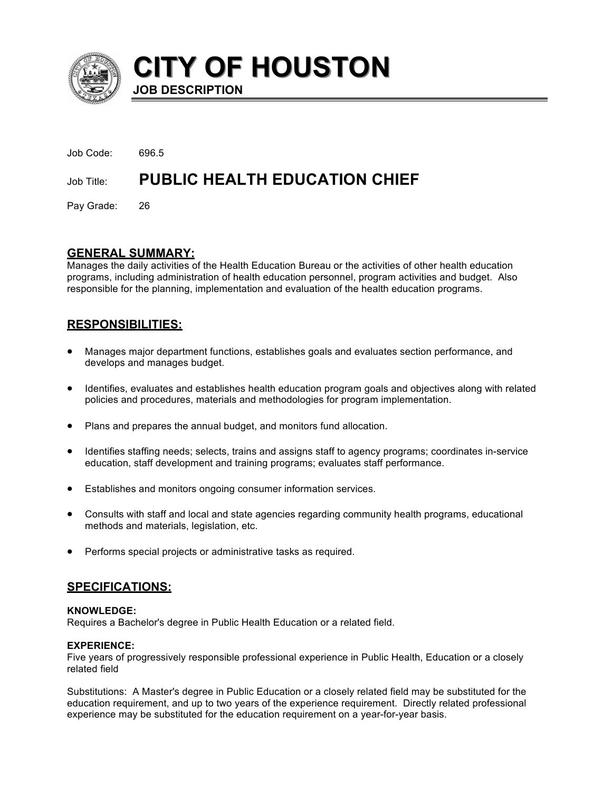

**CITY OF HOUSTON CITY OF HOUSTON**

Job Code: 696.5 Job Title: **PUBLIC HEALTH EDUCATION CHIEF** 

**JOB DESCRIPTION**

Pay Grade: 26

# **GENERAL SUMMARY:**

Manages the daily activities of the Health Education Bureau or the activities of other health education programs, including administration of health education personnel, program activities and budget. Also responsible for the planning, implementation and evaluation of the health education programs.

# **RESPONSIBILITIES:**

- Manages major department functions, establishes goals and evaluates section performance, and develops and manages budget.
- Identifies, evaluates and establishes health education program goals and objectives along with related policies and procedures, materials and methodologies for program implementation.
- Plans and prepares the annual budget, and monitors fund allocation.
- Identifies staffing needs; selects, trains and assigns staff to agency programs; coordinates in-service education, staff development and training programs; evaluates staff performance.
- Establishes and monitors ongoing consumer information services.
- Consults with staff and local and state agencies regarding community health programs, educational methods and materials, legislation, etc.
- Performs special projects or administrative tasks as required.

# **SPECIFICATIONS:**

# **KNOWLEDGE:**

Requires a Bachelor's degree in Public Health Education or a related field.

# **EXPERIENCE:**

Five years of progressively responsible professional experience in Public Health, Education or a closely related field

Substitutions: A Master's degree in Public Education or a closely related field may be substituted for the education requirement, and up to two years of the experience requirement. Directly related professional experience may be substituted for the education requirement on a year-for-year basis.